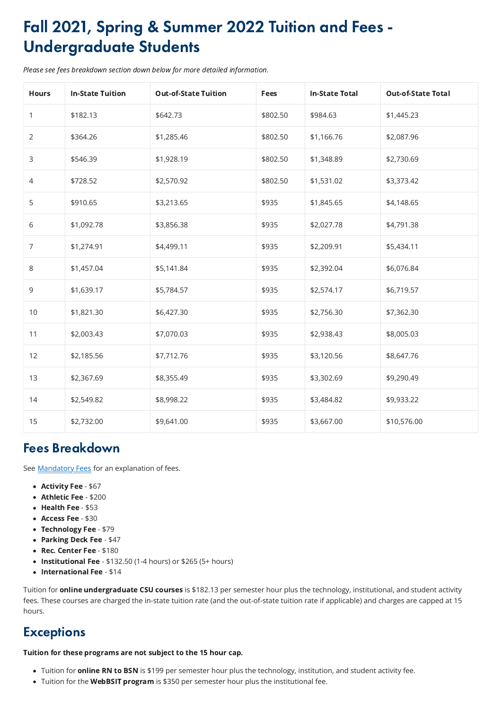## Fall 2021, Spring & Summer 2022 Tuition and Fees - Undergraduate Students

Please see fees breakdown section down below for more detailed information.

| <b>Hours</b>   | <b>In-State Tuition</b> | <b>Out-of-State Tuition</b> | <b>Fees</b> | <b>In-State Total</b> | <b>Out-of-State Total</b> |
|----------------|-------------------------|-----------------------------|-------------|-----------------------|---------------------------|
|                | \$182.13                | \$642.73                    | \$802.50    | \$984.63              | \$1,445.23                |
| $\overline{2}$ | \$364.26                | \$1,285.46                  | \$802.50    | \$1,166.76            | \$2,087.96                |
| $\mathsf{3}$   | \$546.39                | \$1,928.19                  | \$802.50    | \$1,348.89            | \$2,730.69                |
| 4              | \$728.52                | \$2,570.92                  | \$802.50    | \$1,531.02            | \$3,373.42                |
| 5              | \$910.65                | \$3,213.65                  | \$935       | \$1,845.65            | \$4,148.65                |
| 6              | \$1,092.78              | \$3,856.38                  | \$935       | \$2,027.78            | \$4,791.38                |
| $\overline{7}$ | \$1,274.91              | \$4,499.11                  | \$935       | \$2,209.91            | \$5,434.11                |
| 8              | \$1,457.04              | \$5,141.84                  | \$935       | \$2,392.04            | \$6,076.84                |
| 9              | \$1,639.17              | \$5,784.57                  | \$935       | \$2,574.17            | \$6,719.57                |
| 10             | \$1,821.30              | \$6,427.30                  | \$935       | \$2,756.30            | \$7,362.30                |
| 11             | \$2,003.43              | \$7,070.03                  | \$935       | \$2,938.43            | \$8,005.03                |
| 12             | \$2,185.56              | \$7,712.76                  | \$935       | \$3,120.56            | \$8,647.76                |
| 13             | \$2,367.69              | \$8,355.49                  | \$935       | \$3,302.69            | \$9,290.49                |
| 14             | \$2,549.82              | \$8,998.22                  | \$935       | \$3,484.82            | \$9,933.22                |
| 15             | \$2,732.00              | \$9,641.00                  | \$935       | \$3,667.00            | \$10,576.00               |

Tuition for **online undergraduate CSU courses** is \$182.13 per semester hour plus the technology, institutional, and student activity fees. These courses are charged the in-state tuition rate (and the out-of-state tuition rate if applicable) and charges are capped at 15 hours.

## **Exceptions**

## Fees Breakdown

See **Mandatory Fees** for an explanation of fees.

- Activity Fee \$67
- Athletic Fee \$200
- Health Fee \$53
- Access Fee \$30
- Technology Fee \$79
- Parking Deck Fee \$47
- Rec. Center Fee \$180
- Institutional Fee  $$132.50$  (1-4 hours) or  $$265$  (5+ hours)
- International Fee \$14

Tuition for these programs are not subject to the 15 hour cap.

- Tuition for **online RN to BSN** is \$199 per semester hour plus the technology, institution, and student activity fee.
- Tuition for the WebBSIT program is \$350 per semester hour plus the institutional fee.